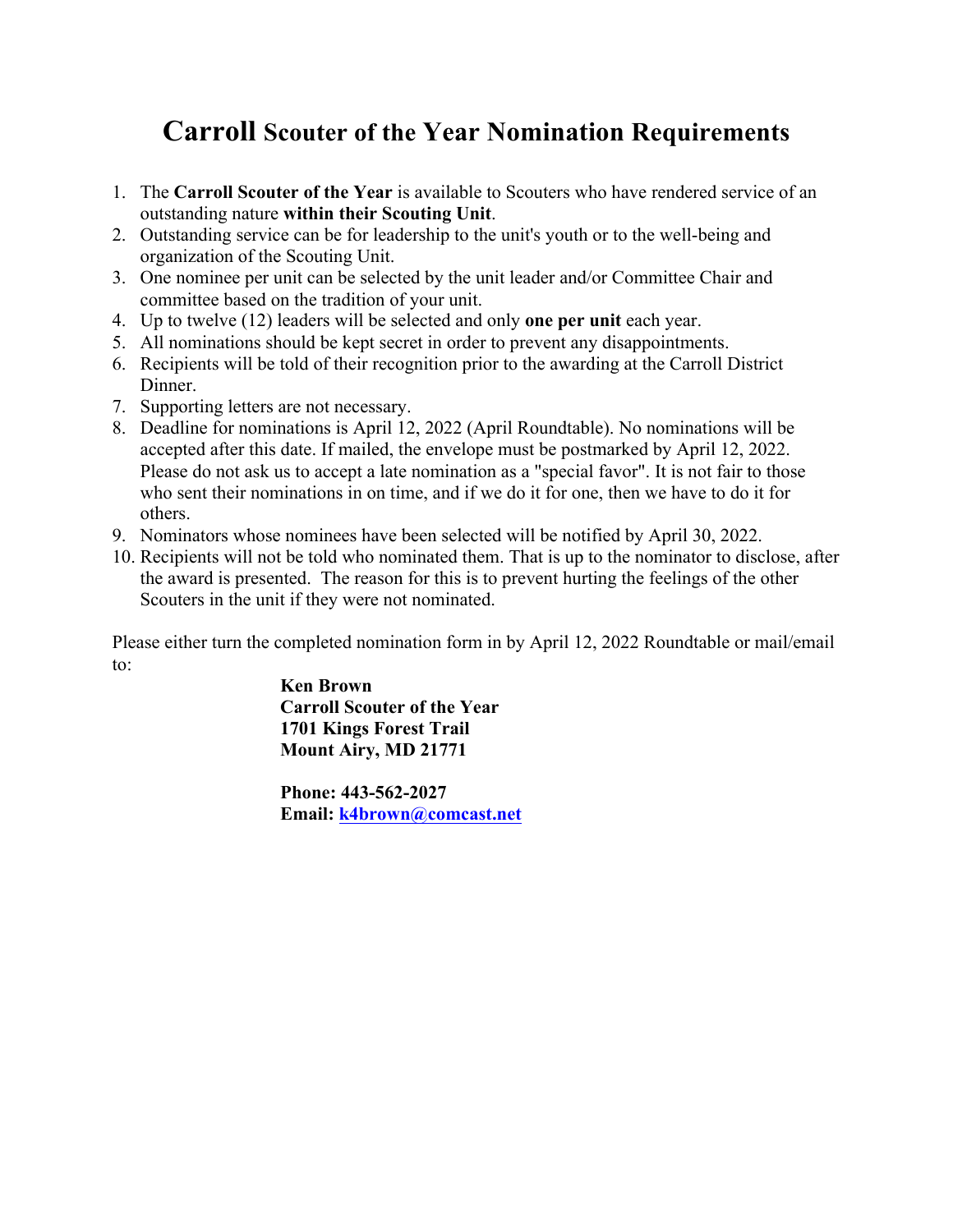## **Carroll Scouter of the Year Nomination Requirements**

- 1. The **Carroll Scouter of the Year** is available to Scouters who have rendered service of an outstanding nature **within their Scouting Unit**.
- 2. Outstanding service can be for leadership to the unit's youth or to the well-being and organization of the Scouting Unit.
- 3. One nominee per unit can be selected by the unit leader and/or Committee Chair and committee based on the tradition of your unit.
- 4. Up to twelve (12) leaders will be selected and only **one per unit** each year.
- 5. All nominations should be kept secret in order to prevent any disappointments.
- 6. Recipients will be told of their recognition prior to the awarding at the Carroll District Dinner.
- 7. Supporting letters are not necessary.
- 8. Deadline for nominations is April 12, 2022 (April Roundtable). No nominations will be accepted after this date. If mailed, the envelope must be postmarked by April 12, 2022. Please do not ask us to accept a late nomination as a "special favor". It is not fair to those who sent their nominations in on time, and if we do it for one, then we have to do it for others.
- 9. Nominators whose nominees have been selected will be notified by April 30, 2022.
- 10. Recipients will not be told who nominated them. That is up to the nominator to disclose, after the award is presented. The reason for this is to prevent hurting the feelings of the other Scouters in the unit if they were not nominated.

Please either turn the completed nomination form in by April 12, 2022 Roundtable or mail/email to:

> **Ken Brown Carroll Scouter of the Year 1701 Kings Forest Trail Mount Airy, MD 21771**

**Phone: 443-562-2027 Email: k4brown@comcast.net**